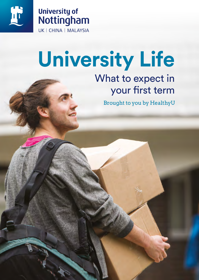



# **University Life**

## What to expect in your first term

Brought to you by HealthyU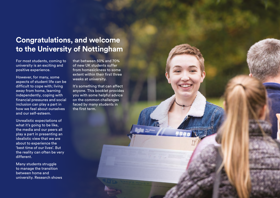## **Congratulations, and welcome to the University of Nottingham**

For most students, coming to university is an exciting and positive experience.

However, for many, some aspects of student life can be difficult to cope with; living away from home, learning independently, coping with financial pressures and social inclusion can play a part in how we feel about ourselves and our self-esteem.

Unrealistic expectations of what it's going to be like, the media and our peers all play a part in presenting an idealistic view that we are about to experience the 'best time of our lives'. But the reality can often be very different.

Many students struggle to manage the transition between home and university. Research shows that between 50% and 70% of new UK students suffer from homesickness to some extent within their first three weeks at university.

It's something that can affect anyone. This booklet provides you with some helpful advice on the common challenges faced by many students in the first term.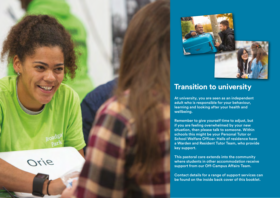

### **Transition to university**

At university, you are seen as an independent adult who is responsible for your behaviour, learning and looking after your health and wellbeing.

Remember to give yourself time to adjust, but if you are feeling overwhelmed by your new situation, then please talk to someone. Within schools this might be your Personal Tutor or School Welfare Officer. Halls of residence have a Warden and Resident Tutor Team, who provide key support.

This pastoral care extends into the community where students in other accommodation receive support from our Off-Campus Affairs Team.

Orie

Contact details for a range of support services can be found on the inside back cover of this booklet.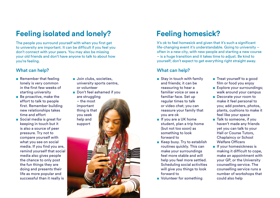### **Feeling isolated and lonely? Feeling homesick?**

The people you surround yourself with when you first get to university are important. It can be difficult if you feel you don't connect with your peers. You may also be missing your old friends and don't have anyone to talk to about how you're feeling.

### What can help? What can help?

- Remember that feeling lonely is very common in the first few weeks of starting university
- Be proactive, make the effort to talk to people first. Remember building new relationships takes time and effort
- Social media is great for keeping in touch but it is also a source of peer pressure. Try not to compare yourself with what you see on social media. If you find you are, remind yourself that social media also gives people the chance to only post the fun things they are doing and presents their life as more popular and successful than it really is
- Join clubs, societies, university sports centre, or volunteer
- Don't feel ashamed if you are struggling

– the most important thing is that you seek help and support

It's ok to feel homesick and given that it's such a significant life-changing event it's understandable. Going to university – often in a new city, with new people and starting a new course – is a huge transition and it takes time to adjust. Be kind to yourself; don't expect to get everything right straight away.

- Stay in touch with family and friends; it can be reassuring to hear a familiar voice or see a familiar face. Set up regular times to talk or video chat; you can reassure your family that you are ok
- If you are a UK home student, plan a trip home (but not too soon) as something to look forward to
- Keep busy. Try to establish routines quickly. This can make your surroundings feel more stable and will help you feel more settled. Scheduling social activities will give you things to look forward to
- Volunteer for something
- Treat yourself to a good film or food you enjoy
- Explore your surroundings: walk around your campus
- Decorate your room to make it feel personal to you; add posters, photos, plants, cushions to make it feel like your space
- Talk to someone, if you haven't made any friends yet you can talk to your Hall or Course Tutors, Chaplaincy or School Welfare Officers
- If your homesickness is making it difficult to cope, make an appointment with your GP, or the University counselling service. The counselling service runs a number of workshops that could also help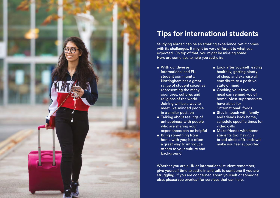

### **Tips for international students**

Studying abroad can be an amazing experience, yet it comes with its challenges. It might be very different to what you expected. On top of that, you might be missing home. Here are some tips to help you settle in:

- With our diverse international and EU student community, Nottingham has a great range of student societies representing the many countries, cultures and religions of the world. Joining will be a way to meet like-minded people in a similar position
- Talking about feelings of unhappiness with people who are sharing your experiences can be helpful
- Bring something from home with you; it's often a great way to introduce others to your culture and background
- Look after yourself; eating healthily, getting plenty of sleep and exercise all contribute to a positive state of mind
- Cooking your favourite meal can remind you of home. Most supermarkets have aisles for "international" foods
- Stay in touch with family and friends back home, schedule specific times for video calls
- Make friends with home students too; having a broad circle of friends will make you feel supported

Whether you are a UK or international student remember, give yourself time to settle in and talk to someone if you are struggling. If you are concerned about yourself or someone else, please see overleaf for services that can help.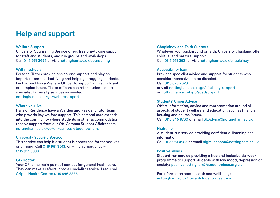### **Help and support**

#### Welfare Support

University Counselling Service offers free one-to-one support for staff and students, and run groups and workshops. Call 0115 951 3695 or visit [nottingham.ac.uk/counselling](https://www.nottingham.ac.uk/counselling/)

#### Within schools

Personal Tutors provide one-to-one support and play an important part in identifying and helping struggling students. Each school has a Welfare Officer to support with significant or complex issues. These officers can refer students on to specialist University services as needed: [nottingham.ac.uk/go/welfaresupport](https://www.nottingham.ac.uk/studentservices/services/student-welfare-support.aspx)

#### Where you live

Halls of Residence have a Warden and Resident Tutor team who provide key welfare support. This pastoral care extends into the community where students in other accommodation receive support from our Off-Campus Student Affairs team: [nottingham.ac.uk/go/off-campus-student-affairs](https://www.nottingham.ac.uk/studentservices/services/off-campus-affairs.aspx)

#### University Security Service

This service can help if a student is concerned for themselves or a friend. Call 0115 951 3013, or – in an emergency – 0115 951 8888.

#### GP/Doctor

Your GP is the main point of contact for general healthcare. They can make a referral onto a specialist service if required. Cripps Health Centre: 0115 846 8888

#### Chaplaincy and Faith Support

Whatever your background or faith, University chaplains offer spiritual and pastoral support. Call 0115 951 3931 or visit [nottingham.ac.uk/chaplaincy](https://www.nottingham.ac.uk/chaplaincy/)

#### Accessibility team

Provides specialist advice and support for students who consider themselves to be disabled. Call 0115 823 2070 or visit [nottingham.ac.uk/go/disability-support](https://www.nottingham.ac.uk/studentservices/support/supportforyourstudies/disabilitysupport/index.aspx) or [nottingham.ac.uk/go/acadsupport](https://www.nottingham.ac.uk/studentservices/support/supportforyourstudies/academicsupport/index.aspx)

### Students' Union Advice

Offers information, advice and representation around all aspects of student welfare and education, such as financial, housing and course issues. Call 0115 846 8730 or email [SUAdvice@nottingham.ac.uk](mailto:SUAdvice%40nottingham.ac.uk?subject=University%20Life%20Brochure)

#### **Nightline**

A student-run service providing confidential listening and information. Call 0115 951 4985 or email [nightlineanon@nottingham.ac.uk](mailto:nightlineanon%40nottingham.ac.uk?subject=University%20Life%20Brochure)

#### Positive Minds

Student-run service providing a free and inclusive six-week programme to support students with low mood, depression or anxiety: [positivenottingham@studentminds.org.uk](mailto:positivenottingham%40studentminds.org.uk?subject=University%20Life%20Brochure)

For information about health and wellbeing: [nottingham.ac.uk/currentstudents/healthyu](https://www.nottingham.ac.uk/currentstudents/healthyu/)